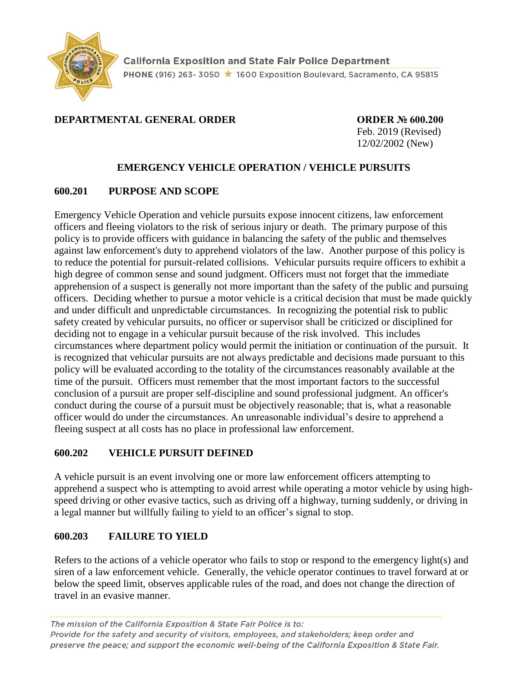

### **DEPARTMENTAL GENERAL ORDER ORDER № 600.200**

Feb. 2019 (Revised) 12/02/2002 (New)

### **EMERGENCY VEHICLE OPERATION / VEHICLE PURSUITS**

### **600.201 PURPOSE AND SCOPE**

Emergency Vehicle Operation and vehicle pursuits expose innocent citizens, law enforcement officers and fleeing violators to the risk of serious injury or death. The primary purpose of this policy is to provide officers with guidance in balancing the safety of the public and themselves against law enforcement's duty to apprehend violators of the law. Another purpose of this policy is to reduce the potential for pursuit-related collisions. Vehicular pursuits require officers to exhibit a high degree of common sense and sound judgment. Officers must not forget that the immediate apprehension of a suspect is generally not more important than the safety of the public and pursuing officers. Deciding whether to pursue a motor vehicle is a critical decision that must be made quickly and under difficult and unpredictable circumstances. In recognizing the potential risk to public safety created by vehicular pursuits, no officer or supervisor shall be criticized or disciplined for deciding not to engage in a vehicular pursuit because of the risk involved. This includes circumstances where department policy would permit the initiation or continuation of the pursuit. It is recognized that vehicular pursuits are not always predictable and decisions made pursuant to this policy will be evaluated according to the totality of the circumstances reasonably available at the time of the pursuit. Officers must remember that the most important factors to the successful conclusion of a pursuit are proper self-discipline and sound professional judgment. An officer's conduct during the course of a pursuit must be objectively reasonable; that is, what a reasonable officer would do under the circumstances. An unreasonable individual's desire to apprehend a fleeing suspect at all costs has no place in professional law enforcement.

### **600.202 VEHICLE PURSUIT DEFINED**

A vehicle pursuit is an event involving one or more law enforcement officers attempting to apprehend a suspect who is attempting to avoid arrest while operating a motor vehicle by using highspeed driving or other evasive tactics, such as driving off a highway, turning suddenly, or driving in a legal manner but willfully failing to yield to an officer's signal to stop.

### **600.203 FAILURE TO YIELD**

Refers to the actions of a vehicle operator who fails to stop or respond to the emergency light(s) and siren of a law enforcement vehicle. Generally, the vehicle operator continues to travel forward at or below the speed limit, observes applicable rules of the road, and does not change the direction of travel in an evasive manner.

The mission of the California Exposition & State Fair Police is to: Provide for the safety and security of visitors, employees, and stakeholders; keep order and preserve the peace; and support the economic well-being of the California Exposition & State Fair.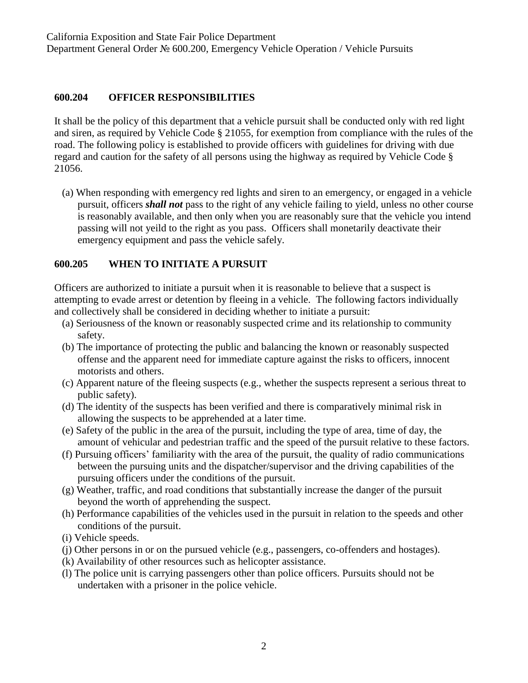#### **600.204 OFFICER RESPONSIBILITIES**

It shall be the policy of this department that a vehicle pursuit shall be conducted only with red light and siren, as required by Vehicle Code § 21055, for exemption from compliance with the rules of the road. The following policy is established to provide officers with guidelines for driving with due regard and caution for the safety of all persons using the highway as required by Vehicle Code § 21056.

(a) When responding with emergency red lights and siren to an emergency, or engaged in a vehicle pursuit, officers *shall not* pass to the right of any vehicle failing to yield, unless no other course is reasonably available, and then only when you are reasonably sure that the vehicle you intend passing will not yeild to the right as you pass. Officers shall monetarily deactivate their emergency equipment and pass the vehicle safely.

### **600.205 WHEN TO INITIATE A PURSUIT**

Officers are authorized to initiate a pursuit when it is reasonable to believe that a suspect is attempting to evade arrest or detention by fleeing in a vehicle. The following factors individually and collectively shall be considered in deciding whether to initiate a pursuit:

- (a) Seriousness of the known or reasonably suspected crime and its relationship to community safety.
- (b) The importance of protecting the public and balancing the known or reasonably suspected offense and the apparent need for immediate capture against the risks to officers, innocent motorists and others.
- (c) Apparent nature of the fleeing suspects (e.g., whether the suspects represent a serious threat to public safety).
- (d) The identity of the suspects has been verified and there is comparatively minimal risk in allowing the suspects to be apprehended at a later time.
- (e) Safety of the public in the area of the pursuit, including the type of area, time of day, the amount of vehicular and pedestrian traffic and the speed of the pursuit relative to these factors.
- (f) Pursuing officers' familiarity with the area of the pursuit, the quality of radio communications between the pursuing units and the dispatcher/supervisor and the driving capabilities of the pursuing officers under the conditions of the pursuit.
- (g) Weather, traffic, and road conditions that substantially increase the danger of the pursuit beyond the worth of apprehending the suspect.
- (h) Performance capabilities of the vehicles used in the pursuit in relation to the speeds and other conditions of the pursuit.
- (i) Vehicle speeds.
- (j) Other persons in or on the pursued vehicle (e.g., passengers, co-offenders and hostages).
- (k) Availability of other resources such as helicopter assistance.
- (l) The police unit is carrying passengers other than police officers. Pursuits should not be undertaken with a prisoner in the police vehicle.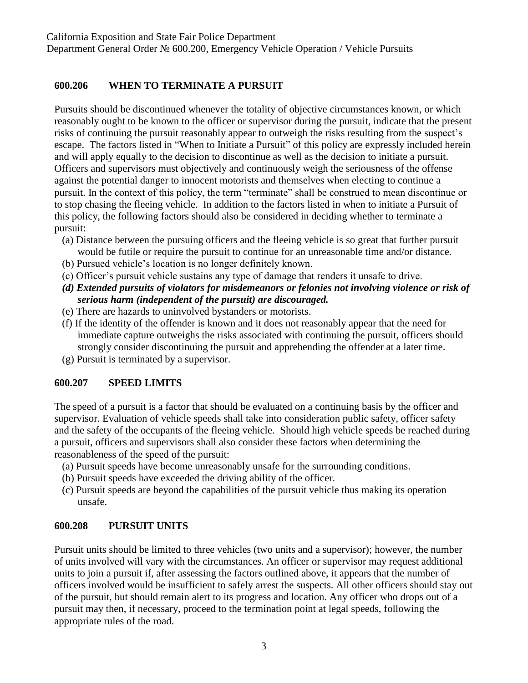#### **600.206 WHEN TO TERMINATE A PURSUIT**

Pursuits should be discontinued whenever the totality of objective circumstances known, or which reasonably ought to be known to the officer or supervisor during the pursuit, indicate that the present risks of continuing the pursuit reasonably appear to outweigh the risks resulting from the suspect's escape. The factors listed in "When to Initiate a Pursuit" of this policy are expressly included herein and will apply equally to the decision to discontinue as well as the decision to initiate a pursuit. Officers and supervisors must objectively and continuously weigh the seriousness of the offense against the potential danger to innocent motorists and themselves when electing to continue a pursuit. In the context of this policy, the term "terminate" shall be construed to mean discontinue or to stop chasing the fleeing vehicle. In addition to the factors listed in when to initiate a Pursuit of this policy, the following factors should also be considered in deciding whether to terminate a pursuit:

- (a) Distance between the pursuing officers and the fleeing vehicle is so great that further pursuit would be futile or require the pursuit to continue for an unreasonable time and/or distance.
- (b) Pursued vehicle's location is no longer definitely known.
- (c) Officer's pursuit vehicle sustains any type of damage that renders it unsafe to drive.
- *(d) Extended pursuits of violators for misdemeanors or felonies not involving violence or risk of serious harm (independent of the pursuit) are discouraged.*
- (e) There are hazards to uninvolved bystanders or motorists.
- (f) If the identity of the offender is known and it does not reasonably appear that the need for immediate capture outweighs the risks associated with continuing the pursuit, officers should strongly consider discontinuing the pursuit and apprehending the offender at a later time.
- (g) Pursuit is terminated by a supervisor.

#### **600.207 SPEED LIMITS**

The speed of a pursuit is a factor that should be evaluated on a continuing basis by the officer and supervisor. Evaluation of vehicle speeds shall take into consideration public safety, officer safety and the safety of the occupants of the fleeing vehicle. Should high vehicle speeds be reached during a pursuit, officers and supervisors shall also consider these factors when determining the reasonableness of the speed of the pursuit:

- (a) Pursuit speeds have become unreasonably unsafe for the surrounding conditions.
- (b) Pursuit speeds have exceeded the driving ability of the officer.
- (c) Pursuit speeds are beyond the capabilities of the pursuit vehicle thus making its operation unsafe.

### **600.208 PURSUIT UNITS**

Pursuit units should be limited to three vehicles (two units and a supervisor); however, the number of units involved will vary with the circumstances. An officer or supervisor may request additional units to join a pursuit if, after assessing the factors outlined above, it appears that the number of officers involved would be insufficient to safely arrest the suspects. All other officers should stay out of the pursuit, but should remain alert to its progress and location. Any officer who drops out of a pursuit may then, if necessary, proceed to the termination point at legal speeds, following the appropriate rules of the road.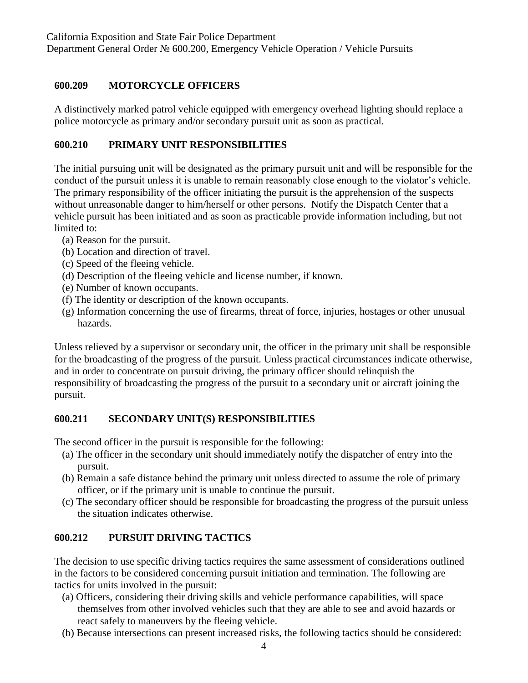## **600.209 MOTORCYCLE OFFICERS**

A distinctively marked patrol vehicle equipped with emergency overhead lighting should replace a police motorcycle as primary and/or secondary pursuit unit as soon as practical.

## **600.210 PRIMARY UNIT RESPONSIBILITIES**

The initial pursuing unit will be designated as the primary pursuit unit and will be responsible for the conduct of the pursuit unless it is unable to remain reasonably close enough to the violator's vehicle. The primary responsibility of the officer initiating the pursuit is the apprehension of the suspects without unreasonable danger to him/herself or other persons. Notify the Dispatch Center that a vehicle pursuit has been initiated and as soon as practicable provide information including, but not limited to:

- (a) Reason for the pursuit.
- (b) Location and direction of travel.
- (c) Speed of the fleeing vehicle.
- (d) Description of the fleeing vehicle and license number, if known.
- (e) Number of known occupants.
- (f) The identity or description of the known occupants.
- (g) Information concerning the use of firearms, threat of force, injuries, hostages or other unusual hazards.

Unless relieved by a supervisor or secondary unit, the officer in the primary unit shall be responsible for the broadcasting of the progress of the pursuit. Unless practical circumstances indicate otherwise, and in order to concentrate on pursuit driving, the primary officer should relinquish the responsibility of broadcasting the progress of the pursuit to a secondary unit or aircraft joining the pursuit.

### **600.211 SECONDARY UNIT(S) RESPONSIBILITIES**

The second officer in the pursuit is responsible for the following:

- (a) The officer in the secondary unit should immediately notify the dispatcher of entry into the pursuit.
- (b) Remain a safe distance behind the primary unit unless directed to assume the role of primary officer, or if the primary unit is unable to continue the pursuit.
- (c) The secondary officer should be responsible for broadcasting the progress of the pursuit unless the situation indicates otherwise.

# **600.212 PURSUIT DRIVING TACTICS**

The decision to use specific driving tactics requires the same assessment of considerations outlined in the factors to be considered concerning pursuit initiation and termination. The following are tactics for units involved in the pursuit:

- (a) Officers, considering their driving skills and vehicle performance capabilities, will space themselves from other involved vehicles such that they are able to see and avoid hazards or react safely to maneuvers by the fleeing vehicle.
- (b) Because intersections can present increased risks, the following tactics should be considered: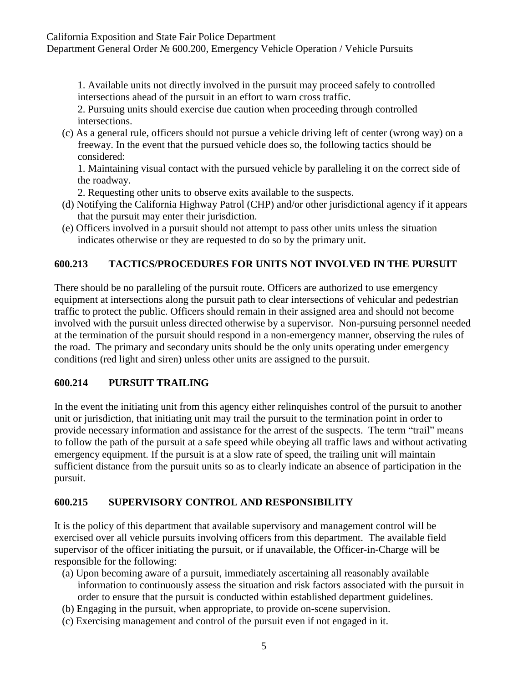Department General Order № 600.200, Emergency Vehicle Operation / Vehicle Pursuits

1. Available units not directly involved in the pursuit may proceed safely to controlled intersections ahead of the pursuit in an effort to warn cross traffic.

2. Pursuing units should exercise due caution when proceeding through controlled intersections.

(c) As a general rule, officers should not pursue a vehicle driving left of center (wrong way) on a freeway. In the event that the pursued vehicle does so, the following tactics should be considered:

1. Maintaining visual contact with the pursued vehicle by paralleling it on the correct side of the roadway.

- 2. Requesting other units to observe exits available to the suspects.
- (d) Notifying the California Highway Patrol (CHP) and/or other jurisdictional agency if it appears that the pursuit may enter their jurisdiction.
- (e) Officers involved in a pursuit should not attempt to pass other units unless the situation indicates otherwise or they are requested to do so by the primary unit.

### **600.213 TACTICS/PROCEDURES FOR UNITS NOT INVOLVED IN THE PURSUIT**

There should be no paralleling of the pursuit route. Officers are authorized to use emergency equipment at intersections along the pursuit path to clear intersections of vehicular and pedestrian traffic to protect the public. Officers should remain in their assigned area and should not become involved with the pursuit unless directed otherwise by a supervisor. Non-pursuing personnel needed at the termination of the pursuit should respond in a non-emergency manner, observing the rules of the road. The primary and secondary units should be the only units operating under emergency conditions (red light and siren) unless other units are assigned to the pursuit.

#### **600.214 PURSUIT TRAILING**

In the event the initiating unit from this agency either relinquishes control of the pursuit to another unit or jurisdiction, that initiating unit may trail the pursuit to the termination point in order to provide necessary information and assistance for the arrest of the suspects. The term "trail" means to follow the path of the pursuit at a safe speed while obeying all traffic laws and without activating emergency equipment. If the pursuit is at a slow rate of speed, the trailing unit will maintain sufficient distance from the pursuit units so as to clearly indicate an absence of participation in the pursuit.

### **600.215 SUPERVISORY CONTROL AND RESPONSIBILITY**

It is the policy of this department that available supervisory and management control will be exercised over all vehicle pursuits involving officers from this department. The available field supervisor of the officer initiating the pursuit, or if unavailable, the Officer-in-Charge will be responsible for the following:

- (a) Upon becoming aware of a pursuit, immediately ascertaining all reasonably available information to continuously assess the situation and risk factors associated with the pursuit in order to ensure that the pursuit is conducted within established department guidelines.
- (b) Engaging in the pursuit, when appropriate, to provide on-scene supervision.
- (c) Exercising management and control of the pursuit even if not engaged in it.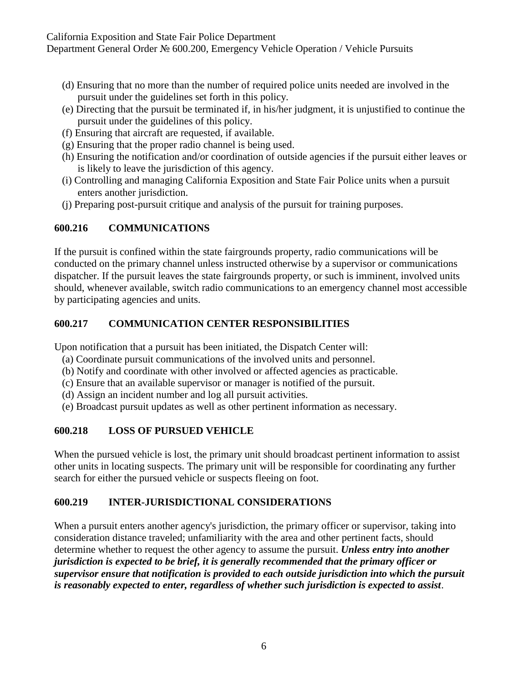California Exposition and State Fair Police Department Department General Order № 600.200, Emergency Vehicle Operation / Vehicle Pursuits

- (d) Ensuring that no more than the number of required police units needed are involved in the pursuit under the guidelines set forth in this policy.
- (e) Directing that the pursuit be terminated if, in his/her judgment, it is unjustified to continue the pursuit under the guidelines of this policy.
- (f) Ensuring that aircraft are requested, if available.
- (g) Ensuring that the proper radio channel is being used.
- (h) Ensuring the notification and/or coordination of outside agencies if the pursuit either leaves or is likely to leave the jurisdiction of this agency.
- (i) Controlling and managing California Exposition and State Fair Police units when a pursuit enters another jurisdiction.
- (j) Preparing post-pursuit critique and analysis of the pursuit for training purposes.

#### **600.216 COMMUNICATIONS**

If the pursuit is confined within the state fairgrounds property, radio communications will be conducted on the primary channel unless instructed otherwise by a supervisor or communications dispatcher. If the pursuit leaves the state fairgrounds property, or such is imminent, involved units should, whenever available, switch radio communications to an emergency channel most accessible by participating agencies and units.

### **600.217 COMMUNICATION CENTER RESPONSIBILITIES**

Upon notification that a pursuit has been initiated, the Dispatch Center will:

- (a) Coordinate pursuit communications of the involved units and personnel.
- (b) Notify and coordinate with other involved or affected agencies as practicable.
- (c) Ensure that an available supervisor or manager is notified of the pursuit.
- (d) Assign an incident number and log all pursuit activities.
- (e) Broadcast pursuit updates as well as other pertinent information as necessary.

### **600.218 LOSS OF PURSUED VEHICLE**

When the pursued vehicle is lost, the primary unit should broadcast pertinent information to assist other units in locating suspects. The primary unit will be responsible for coordinating any further search for either the pursued vehicle or suspects fleeing on foot.

### **600.219 INTER-JURISDICTIONAL CONSIDERATIONS**

When a pursuit enters another agency's jurisdiction, the primary officer or supervisor, taking into consideration distance traveled; unfamiliarity with the area and other pertinent facts, should determine whether to request the other agency to assume the pursuit. *Unless entry into another jurisdiction is expected to be brief, it is generally recommended that the primary officer or supervisor ensure that notification is provided to each outside jurisdiction into which the pursuit is reasonably expected to enter, regardless of whether such jurisdiction is expected to assist*.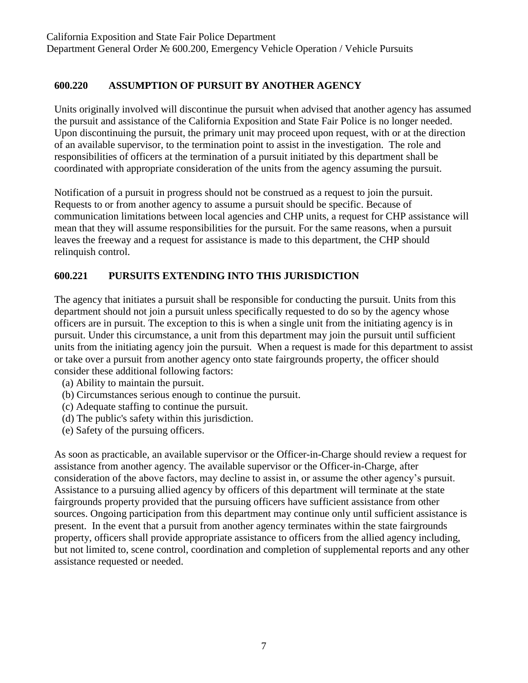## **600.220 ASSUMPTION OF PURSUIT BY ANOTHER AGENCY**

Units originally involved will discontinue the pursuit when advised that another agency has assumed the pursuit and assistance of the California Exposition and State Fair Police is no longer needed. Upon discontinuing the pursuit, the primary unit may proceed upon request, with or at the direction of an available supervisor, to the termination point to assist in the investigation. The role and responsibilities of officers at the termination of a pursuit initiated by this department shall be coordinated with appropriate consideration of the units from the agency assuming the pursuit.

Notification of a pursuit in progress should not be construed as a request to join the pursuit. Requests to or from another agency to assume a pursuit should be specific. Because of communication limitations between local agencies and CHP units, a request for CHP assistance will mean that they will assume responsibilities for the pursuit. For the same reasons, when a pursuit leaves the freeway and a request for assistance is made to this department, the CHP should relinquish control.

### **600.221 PURSUITS EXTENDING INTO THIS JURISDICTION**

The agency that initiates a pursuit shall be responsible for conducting the pursuit. Units from this department should not join a pursuit unless specifically requested to do so by the agency whose officers are in pursuit. The exception to this is when a single unit from the initiating agency is in pursuit. Under this circumstance, a unit from this department may join the pursuit until sufficient units from the initiating agency join the pursuit. When a request is made for this department to assist or take over a pursuit from another agency onto state fairgrounds property, the officer should consider these additional following factors:

- (a) Ability to maintain the pursuit.
- (b) Circumstances serious enough to continue the pursuit.
- (c) Adequate staffing to continue the pursuit.
- (d) The public's safety within this jurisdiction.
- (e) Safety of the pursuing officers.

As soon as practicable, an available supervisor or the Officer-in-Charge should review a request for assistance from another agency. The available supervisor or the Officer-in-Charge, after consideration of the above factors, may decline to assist in, or assume the other agency's pursuit. Assistance to a pursuing allied agency by officers of this department will terminate at the state fairgrounds property provided that the pursuing officers have sufficient assistance from other sources. Ongoing participation from this department may continue only until sufficient assistance is present. In the event that a pursuit from another agency terminates within the state fairgrounds property, officers shall provide appropriate assistance to officers from the allied agency including, but not limited to, scene control, coordination and completion of supplemental reports and any other assistance requested or needed.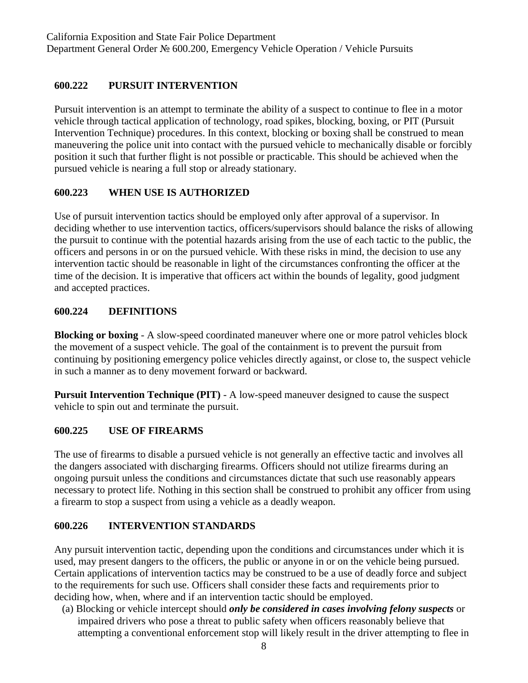## **600.222 PURSUIT INTERVENTION**

Pursuit intervention is an attempt to terminate the ability of a suspect to continue to flee in a motor vehicle through tactical application of technology, road spikes, blocking, boxing, or PIT (Pursuit Intervention Technique) procedures. In this context, blocking or boxing shall be construed to mean maneuvering the police unit into contact with the pursued vehicle to mechanically disable or forcibly position it such that further flight is not possible or practicable. This should be achieved when the pursued vehicle is nearing a full stop or already stationary.

## **600.223 WHEN USE IS AUTHORIZED**

Use of pursuit intervention tactics should be employed only after approval of a supervisor. In deciding whether to use intervention tactics, officers/supervisors should balance the risks of allowing the pursuit to continue with the potential hazards arising from the use of each tactic to the public, the officers and persons in or on the pursued vehicle. With these risks in mind, the decision to use any intervention tactic should be reasonable in light of the circumstances confronting the officer at the time of the decision. It is imperative that officers act within the bounds of legality, good judgment and accepted practices.

## **600.224 DEFINITIONS**

**Blocking or boxing** - A slow-speed coordinated maneuver where one or more patrol vehicles block the movement of a suspect vehicle. The goal of the containment is to prevent the pursuit from continuing by positioning emergency police vehicles directly against, or close to, the suspect vehicle in such a manner as to deny movement forward or backward.

**Pursuit Intervention Technique (PIT)** - A low-speed maneuver designed to cause the suspect vehicle to spin out and terminate the pursuit.

### **600.225 USE OF FIREARMS**

The use of firearms to disable a pursued vehicle is not generally an effective tactic and involves all the dangers associated with discharging firearms. Officers should not utilize firearms during an ongoing pursuit unless the conditions and circumstances dictate that such use reasonably appears necessary to protect life. Nothing in this section shall be construed to prohibit any officer from using a firearm to stop a suspect from using a vehicle as a deadly weapon.

### **600.226 INTERVENTION STANDARDS**

Any pursuit intervention tactic, depending upon the conditions and circumstances under which it is used, may present dangers to the officers, the public or anyone in or on the vehicle being pursued. Certain applications of intervention tactics may be construed to be a use of deadly force and subject to the requirements for such use. Officers shall consider these facts and requirements prior to deciding how, when, where and if an intervention tactic should be employed.

(a) Blocking or vehicle intercept should *only be considered in cases involving felony suspects* or impaired drivers who pose a threat to public safety when officers reasonably believe that attempting a conventional enforcement stop will likely result in the driver attempting to flee in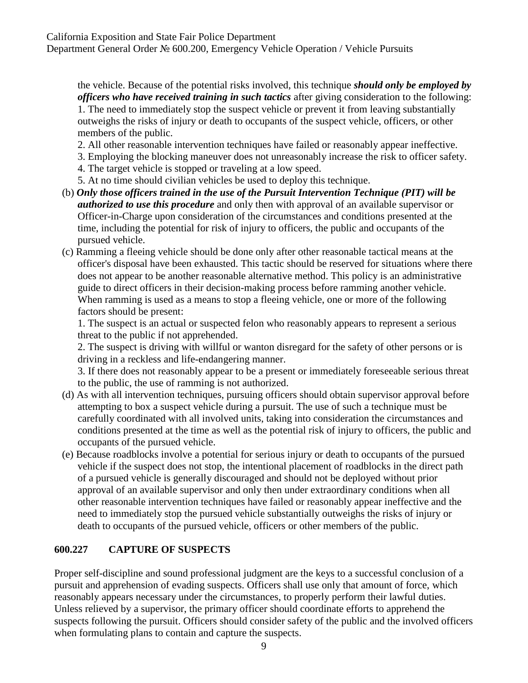the vehicle. Because of the potential risks involved, this technique *should only be employed by officers who have received training in such tactics* after giving consideration to the following: 1. The need to immediately stop the suspect vehicle or prevent it from leaving substantially outweighs the risks of injury or death to occupants of the suspect vehicle, officers, or other members of the public.

- 2. All other reasonable intervention techniques have failed or reasonably appear ineffective.
- 3. Employing the blocking maneuver does not unreasonably increase the risk to officer safety.
- 4. The target vehicle is stopped or traveling at a low speed.
- 5. At no time should civilian vehicles be used to deploy this technique.
- (b) *Only those officers trained in the use of the Pursuit Intervention Technique (PIT) will be authorized to use this procedure* and only then with approval of an available supervisor or Officer-in-Charge upon consideration of the circumstances and conditions presented at the time, including the potential for risk of injury to officers, the public and occupants of the pursued vehicle.
- (c) Ramming a fleeing vehicle should be done only after other reasonable tactical means at the officer's disposal have been exhausted. This tactic should be reserved for situations where there does not appear to be another reasonable alternative method. This policy is an administrative guide to direct officers in their decision-making process before ramming another vehicle. When ramming is used as a means to stop a fleeing vehicle, one or more of the following factors should be present:

1. The suspect is an actual or suspected felon who reasonably appears to represent a serious threat to the public if not apprehended.

2. The suspect is driving with willful or wanton disregard for the safety of other persons or is driving in a reckless and life-endangering manner.

3. If there does not reasonably appear to be a present or immediately foreseeable serious threat to the public, the use of ramming is not authorized.

- (d) As with all intervention techniques, pursuing officers should obtain supervisor approval before attempting to box a suspect vehicle during a pursuit. The use of such a technique must be carefully coordinated with all involved units, taking into consideration the circumstances and conditions presented at the time as well as the potential risk of injury to officers, the public and occupants of the pursued vehicle.
- (e) Because roadblocks involve a potential for serious injury or death to occupants of the pursued vehicle if the suspect does not stop, the intentional placement of roadblocks in the direct path of a pursued vehicle is generally discouraged and should not be deployed without prior approval of an available supervisor and only then under extraordinary conditions when all other reasonable intervention techniques have failed or reasonably appear ineffective and the need to immediately stop the pursued vehicle substantially outweighs the risks of injury or death to occupants of the pursued vehicle, officers or other members of the public.

### **600.227 CAPTURE OF SUSPECTS**

Proper self-discipline and sound professional judgment are the keys to a successful conclusion of a pursuit and apprehension of evading suspects. Officers shall use only that amount of force, which reasonably appears necessary under the circumstances, to properly perform their lawful duties. Unless relieved by a supervisor, the primary officer should coordinate efforts to apprehend the suspects following the pursuit. Officers should consider safety of the public and the involved officers when formulating plans to contain and capture the suspects.